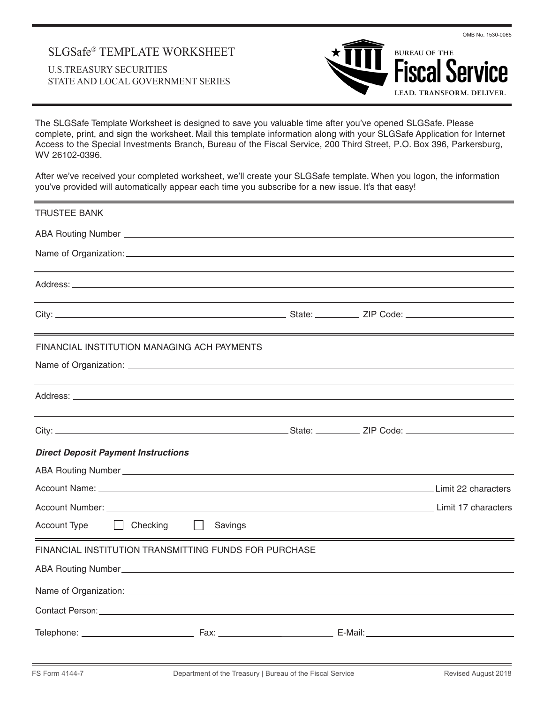# SLGSafe® TEMPLATE WORKSHEET U.S.TREASURY SECURITIES STATE AND LOCAL GOVERNMENT SERIES



The SLGSafe Template Worksheet is designed to save you valuable time after you've opened SLGSafe. Please complete, print, and sign the worksheet. Mail this template information along with your SLGSafe Application for Internet Access to the Special Investments Branch, Bureau of the Fiscal Service, 200 Third Street, P.O. Box 396, Parkersburg, WV 26102-0396.

After we've received your completed worksheet, we'll create your SLGSafe template. When you logon, the information you've provided will automatically appear each time you subscribe for a new issue. It's that easy!

| <b>TRUSTEE BANK</b>                                                                                                                                                                                                            |         |  |  |
|--------------------------------------------------------------------------------------------------------------------------------------------------------------------------------------------------------------------------------|---------|--|--|
|                                                                                                                                                                                                                                |         |  |  |
|                                                                                                                                                                                                                                |         |  |  |
|                                                                                                                                                                                                                                |         |  |  |
|                                                                                                                                                                                                                                |         |  |  |
|                                                                                                                                                                                                                                |         |  |  |
| <u> 1989 - Jan Samuel Barbara, margaret a shekara ta 1989 - Anna ann an t-Anna ann an t-Anna ann an t-Anna ann an</u>                                                                                                          |         |  |  |
| FINANCIAL INSTITUTION MANAGING ACH PAYMENTS                                                                                                                                                                                    |         |  |  |
|                                                                                                                                                                                                                                |         |  |  |
|                                                                                                                                                                                                                                |         |  |  |
| ,我们也不会有什么?""我们的人,我们也不会有什么?""我们的人,我们也不会有什么?""我们的人,我们也不会有什么?""我们的人,我们也不会有什么?""我们的人                                                                                                                                               |         |  |  |
|                                                                                                                                                                                                                                |         |  |  |
| <b>Direct Deposit Payment Instructions</b>                                                                                                                                                                                     |         |  |  |
|                                                                                                                                                                                                                                |         |  |  |
|                                                                                                                                                                                                                                |         |  |  |
| Account Number: Law Management Communication of the Communication of the Communication of the Communication of the Communication of the Communication of the Communication of the Communication of the Communication of the Co |         |  |  |
| Account Type<br>Checking                                                                                                                                                                                                       | Savings |  |  |
| FINANCIAL INSTITUTION TRANSMITTING FUNDS FOR PURCHASE                                                                                                                                                                          |         |  |  |
|                                                                                                                                                                                                                                |         |  |  |
|                                                                                                                                                                                                                                |         |  |  |
|                                                                                                                                                                                                                                |         |  |  |
|                                                                                                                                                                                                                                |         |  |  |
|                                                                                                                                                                                                                                |         |  |  |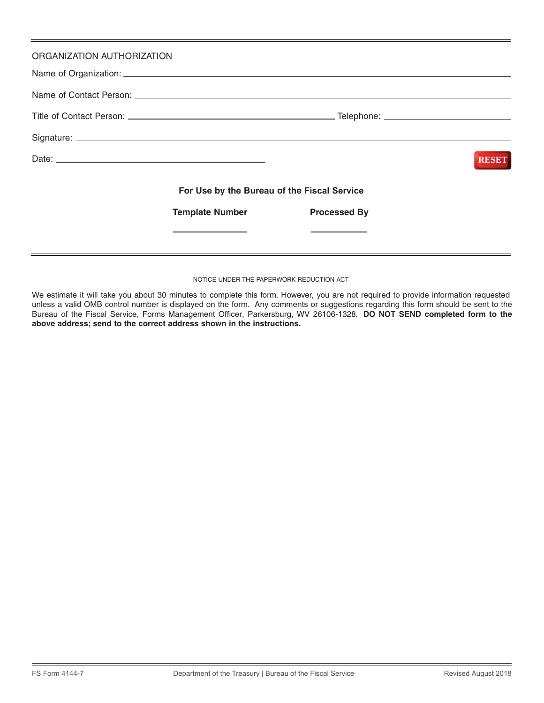| ORGANIZATION AUTHORIZATION |                                             |                     |              |
|----------------------------|---------------------------------------------|---------------------|--------------|
|                            |                                             |                     |              |
|                            |                                             |                     |              |
|                            |                                             |                     |              |
|                            |                                             |                     | <b>RESET</b> |
|                            | For Use by the Bureau of the Fiscal Service |                     |              |
|                            | <b>Template Number</b>                      | <b>Processed By</b> |              |
|                            |                                             |                     |              |
|                            |                                             |                     |              |

#### NOTICE UNDER THE PAPERWORK REDUCTION ACT

We estimate it will take you about 30 minutes to complete this form. However, you are not required to provide information requested unless a valid OMB control number is displayed on the form. Any comments or suggestions regarding this form should be sent to the Bureau of the Fiscal Service, Forms Management Officer, Parkersburg, WV 26106-1328. **DO NOT SEND completed form to the above address; send to the correct address shown in the instructions.**